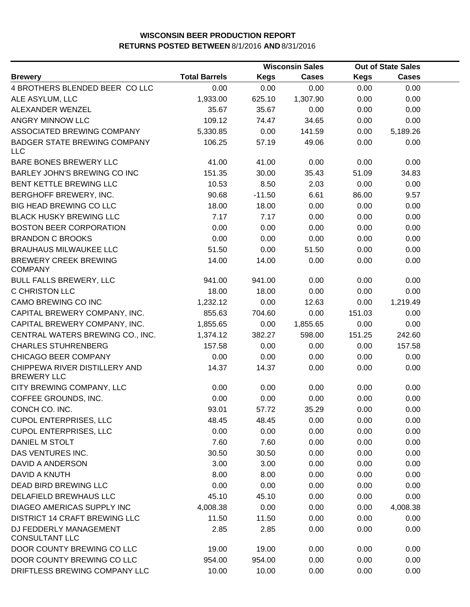|                                                     |                      |             | <b>Wisconsin Sales</b> | <b>Out of State Sales</b> |              |  |
|-----------------------------------------------------|----------------------|-------------|------------------------|---------------------------|--------------|--|
| <b>Brewery</b>                                      | <b>Total Barrels</b> | <b>Kegs</b> | <b>Cases</b>           | <b>Kegs</b>               | <b>Cases</b> |  |
| 4 BROTHERS BLENDED BEER CO LLC                      | 0.00                 | 0.00        | 0.00                   | 0.00                      | 0.00         |  |
| ALE ASYLUM, LLC                                     | 1,933.00             | 625.10      | 1,307.90               | 0.00                      | 0.00         |  |
| ALEXANDER WENZEL                                    | 35.67                | 35.67       | 0.00                   | 0.00                      | 0.00         |  |
| ANGRY MINNOW LLC                                    | 109.12               | 74.47       | 34.65                  | 0.00                      | 0.00         |  |
| ASSOCIATED BREWING COMPANY                          | 5,330.85             | 0.00        | 141.59                 | 0.00                      | 5,189.26     |  |
| <b>BADGER STATE BREWING COMPANY</b><br><b>LLC</b>   | 106.25               | 57.19       | 49.06                  | 0.00                      | 0.00         |  |
| BARE BONES BREWERY LLC                              | 41.00                | 41.00       | 0.00                   | 0.00                      | 0.00         |  |
| BARLEY JOHN'S BREWING CO INC                        | 151.35               | 30.00       | 35.43                  | 51.09                     | 34.83        |  |
| BENT KETTLE BREWING LLC                             | 10.53                | 8.50        | 2.03                   | 0.00                      | 0.00         |  |
| BERGHOFF BREWERY, INC.                              | 90.68                | $-11.50$    | 6.61                   | 86.00                     | 9.57         |  |
| <b>BIG HEAD BREWING CO LLC</b>                      | 18.00                | 18.00       | 0.00                   | 0.00                      | 0.00         |  |
| <b>BLACK HUSKY BREWING LLC</b>                      | 7.17                 | 7.17        | 0.00                   | 0.00                      | 0.00         |  |
| <b>BOSTON BEER CORPORATION</b>                      | 0.00                 | 0.00        | 0.00                   | 0.00                      | 0.00         |  |
| <b>BRANDON C BROOKS</b>                             | 0.00                 | 0.00        | 0.00                   | 0.00                      | 0.00         |  |
| <b>BRAUHAUS MILWAUKEE LLC</b>                       | 51.50                | 0.00        | 51.50                  | 0.00                      | 0.00         |  |
| <b>BREWERY CREEK BREWING</b><br><b>COMPANY</b>      | 14.00                | 14.00       | 0.00                   | 0.00                      | 0.00         |  |
| <b>BULL FALLS BREWERY, LLC</b>                      | 941.00               | 941.00      | 0.00                   | 0.00                      | 0.00         |  |
| C CHRISTON LLC                                      | 18.00                | 18.00       | 0.00                   | 0.00                      | 0.00         |  |
| CAMO BREWING CO INC                                 | 1,232.12             | 0.00        | 12.63                  | 0.00                      | 1,219.49     |  |
| CAPITAL BREWERY COMPANY, INC.                       | 855.63               | 704.60      | 0.00                   | 151.03                    | 0.00         |  |
| CAPITAL BREWERY COMPANY, INC.                       | 1,855.65             | 0.00        | 1,855.65               | 0.00                      | 0.00         |  |
| CENTRAL WATERS BREWING CO., INC.                    | 1,374.12             | 382.27      | 598.00                 | 151.25                    | 242.60       |  |
| <b>CHARLES STUHRENBERG</b>                          | 157.58               | 0.00        | 0.00                   | 0.00                      | 157.58       |  |
| CHICAGO BEER COMPANY                                | 0.00                 | 0.00        | 0.00                   | 0.00                      | 0.00         |  |
| CHIPPEWA RIVER DISTILLERY AND<br><b>BREWERY LLC</b> | 14.37                | 14.37       | 0.00                   | 0.00                      | 0.00         |  |
| CITY BREWING COMPANY, LLC                           | 0.00                 | 0.00        | 0.00                   | 0.00                      | 0.00         |  |
| COFFEE GROUNDS, INC.                                | 0.00                 | 0.00        | 0.00                   | 0.00                      | 0.00         |  |
| CONCH CO. INC.                                      | 93.01                | 57.72       | 35.29                  | 0.00                      | 0.00         |  |
| <b>CUPOL ENTERPRISES, LLC</b>                       | 48.45                | 48.45       | 0.00                   | 0.00                      | 0.00         |  |
| <b>CUPOL ENTERPRISES, LLC</b>                       | 0.00                 | 0.00        | 0.00                   | 0.00                      | 0.00         |  |
| DANIEL M STOLT                                      | 7.60                 | 7.60        | 0.00                   | 0.00                      | 0.00         |  |
| DAS VENTURES INC.                                   | 30.50                | 30.50       | 0.00                   | 0.00                      | 0.00         |  |
| <b>DAVID A ANDERSON</b>                             | 3.00                 | 3.00        | 0.00                   | 0.00                      | 0.00         |  |
| DAVID A KNUTH                                       | 8.00                 | 8.00        | 0.00                   | 0.00                      | 0.00         |  |
| DEAD BIRD BREWING LLC                               | 0.00                 | 0.00        | 0.00                   | 0.00                      | 0.00         |  |
| DELAFIELD BREWHAUS LLC                              | 45.10                | 45.10       | 0.00                   | 0.00                      | 0.00         |  |
| DIAGEO AMERICAS SUPPLY INC                          | 4,008.38             | 0.00        | 0.00                   | 0.00                      | 4,008.38     |  |
| <b>DISTRICT 14 CRAFT BREWING LLC</b>                | 11.50                | 11.50       | 0.00                   | 0.00                      | 0.00         |  |
| DJ FEDDERLY MANAGEMENT<br><b>CONSULTANT LLC</b>     | 2.85                 | 2.85        | 0.00                   | 0.00                      | 0.00         |  |
| DOOR COUNTY BREWING CO LLC                          | 19.00                | 19.00       | 0.00                   | 0.00                      | 0.00         |  |
| DOOR COUNTY BREWING CO LLC                          | 954.00               | 954.00      | 0.00                   | 0.00                      | 0.00         |  |
| DRIFTLESS BREWING COMPANY LLC                       | 10.00                | 10.00       | 0.00                   | 0.00                      | 0.00         |  |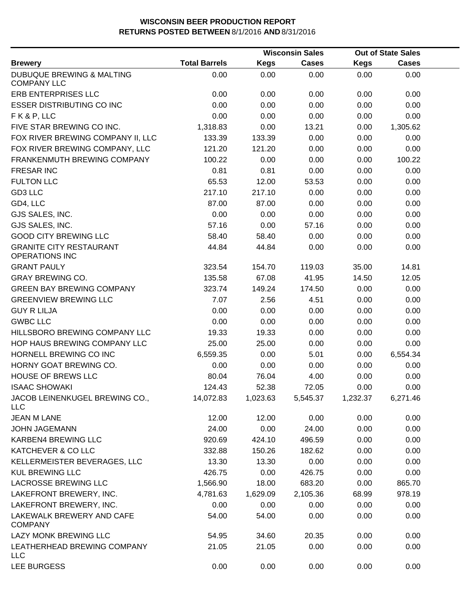|                                                            |                      |             | <b>Wisconsin Sales</b> |             | <b>Out of State Sales</b> |  |
|------------------------------------------------------------|----------------------|-------------|------------------------|-------------|---------------------------|--|
| <b>Brewery</b>                                             | <b>Total Barrels</b> | <b>Kegs</b> | <b>Cases</b>           | <b>Kegs</b> | <b>Cases</b>              |  |
| <b>DUBUQUE BREWING &amp; MALTING</b><br><b>COMPANY LLC</b> | 0.00                 | 0.00        | 0.00                   | 0.00        | 0.00                      |  |
| ERB ENTERPRISES LLC                                        | 0.00                 | 0.00        | 0.00                   | 0.00        | 0.00                      |  |
| <b>ESSER DISTRIBUTING CO INC</b>                           | 0.00                 | 0.00        | 0.00                   | 0.00        | 0.00                      |  |
| FK&P, LLC                                                  | 0.00                 | 0.00        | 0.00                   | 0.00        | 0.00                      |  |
| FIVE STAR BREWING CO INC.                                  | 1,318.83             | 0.00        | 13.21                  | 0.00        | 1,305.62                  |  |
| FOX RIVER BREWING COMPANY II, LLC                          | 133.39               | 133.39      | 0.00                   | 0.00        | 0.00                      |  |
| FOX RIVER BREWING COMPANY, LLC                             | 121.20               | 121.20      | 0.00                   | 0.00        | 0.00                      |  |
| FRANKENMUTH BREWING COMPANY                                | 100.22               | 0.00        | 0.00                   | 0.00        | 100.22                    |  |
| <b>FRESAR INC</b>                                          | 0.81                 | 0.81        | 0.00                   | 0.00        | 0.00                      |  |
| <b>FULTON LLC</b>                                          | 65.53                | 12.00       | 53.53                  | 0.00        | 0.00                      |  |
| GD3 LLC                                                    | 217.10               | 217.10      | 0.00                   | 0.00        | 0.00                      |  |
| GD4, LLC                                                   | 87.00                | 87.00       | 0.00                   | 0.00        | 0.00                      |  |
| GJS SALES, INC.                                            | 0.00                 | 0.00        | 0.00                   | 0.00        | 0.00                      |  |
| GJS SALES, INC.                                            | 57.16                | 0.00        | 57.16                  | 0.00        | 0.00                      |  |
| <b>GOOD CITY BREWING LLC</b>                               | 58.40                | 58.40       | 0.00                   | 0.00        | 0.00                      |  |
| <b>GRANITE CITY RESTAURANT</b><br><b>OPERATIONS INC</b>    | 44.84                | 44.84       | 0.00                   | 0.00        | 0.00                      |  |
| <b>GRANT PAULY</b>                                         | 323.54               | 154.70      | 119.03                 | 35.00       | 14.81                     |  |
| <b>GRAY BREWING CO.</b>                                    | 135.58               | 67.08       | 41.95                  | 14.50       | 12.05                     |  |
| <b>GREEN BAY BREWING COMPANY</b>                           | 323.74               | 149.24      | 174.50                 | 0.00        | 0.00                      |  |
| <b>GREENVIEW BREWING LLC</b>                               | 7.07                 | 2.56        | 4.51                   | 0.00        | 0.00                      |  |
| <b>GUY R LILJA</b>                                         | 0.00                 | 0.00        | 0.00                   | 0.00        | 0.00                      |  |
| <b>GWBC LLC</b>                                            | 0.00                 | 0.00        | 0.00                   | 0.00        | 0.00                      |  |
| HILLSBORO BREWING COMPANY LLC                              | 19.33                | 19.33       | 0.00                   | 0.00        | 0.00                      |  |
| HOP HAUS BREWING COMPANY LLC                               | 25.00                | 25.00       | 0.00                   | 0.00        | 0.00                      |  |
| HORNELL BREWING CO INC                                     | 6,559.35             | 0.00        | 5.01                   | 0.00        | 6,554.34                  |  |
| HORNY GOAT BREWING CO.                                     | 0.00                 | 0.00        | 0.00                   | 0.00        | 0.00                      |  |
| <b>HOUSE OF BREWS LLC</b>                                  | 80.04                | 76.04       | 4.00                   | 0.00        | 0.00                      |  |
| <b>ISAAC SHOWAKI</b>                                       | 124.43               | 52.38       | 72.05                  | 0.00        | 0.00                      |  |
| JACOB LEINENKUGEL BREWING CO.,<br><b>LLC</b>               | 14,072.83            | 1,023.63    | 5,545.37               | 1,232.37    | 6,271.46                  |  |
| <b>JEAN M LANE</b>                                         | 12.00                | 12.00       | 0.00                   | 0.00        | 0.00                      |  |
| <b>JOHN JAGEMANN</b>                                       | 24.00                | 0.00        | 24.00                  | 0.00        | 0.00                      |  |
| KARBEN4 BREWING LLC                                        | 920.69               | 424.10      | 496.59                 | 0.00        | 0.00                      |  |
| KATCHEVER & CO LLC                                         | 332.88               | 150.26      | 182.62                 | 0.00        | 0.00                      |  |
| KELLERMEISTER BEVERAGES, LLC                               | 13.30                | 13.30       | 0.00                   | 0.00        | 0.00                      |  |
| <b>KUL BREWING LLC</b>                                     | 426.75               | 0.00        | 426.75                 | 0.00        | 0.00                      |  |
| LACROSSE BREWING LLC                                       | 1,566.90             | 18.00       | 683.20                 | 0.00        | 865.70                    |  |
| LAKEFRONT BREWERY, INC.                                    | 4,781.63             | 1,629.09    | 2,105.36               | 68.99       | 978.19                    |  |
| LAKEFRONT BREWERY, INC.                                    | 0.00                 | 0.00        | 0.00                   | 0.00        | 0.00                      |  |
| LAKEWALK BREWERY AND CAFE<br><b>COMPANY</b>                | 54.00                | 54.00       | 0.00                   | 0.00        | 0.00                      |  |
| LAZY MONK BREWING LLC                                      | 54.95                | 34.60       | 20.35                  | 0.00        | 0.00                      |  |
| LEATHERHEAD BREWING COMPANY<br><b>LLC</b>                  | 21.05                | 21.05       | 0.00                   | 0.00        | 0.00                      |  |
| <b>LEE BURGESS</b>                                         | 0.00                 | 0.00        | 0.00                   | 0.00        | 0.00                      |  |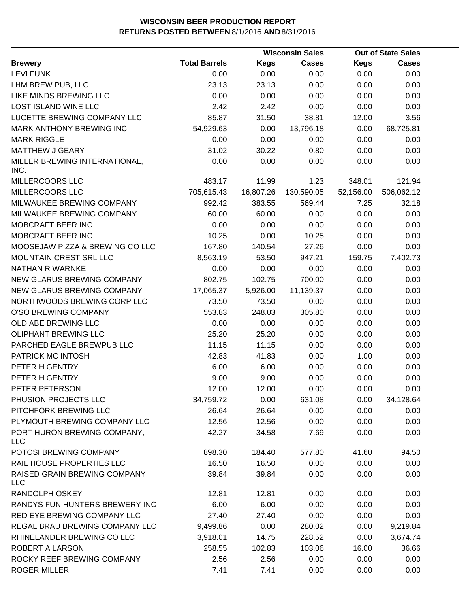|                                            |                      |           | <b>Wisconsin Sales</b> |             | <b>Out of State Sales</b> |  |
|--------------------------------------------|----------------------|-----------|------------------------|-------------|---------------------------|--|
| <b>Brewery</b>                             | <b>Total Barrels</b> | Kegs      | <b>Cases</b>           | <b>Kegs</b> | <b>Cases</b>              |  |
| <b>LEVI FUNK</b>                           | 0.00                 | 0.00      | 0.00                   | 0.00        | 0.00                      |  |
| LHM BREW PUB, LLC                          | 23.13                | 23.13     | 0.00                   | 0.00        | 0.00                      |  |
| LIKE MINDS BREWING LLC                     | 0.00                 | 0.00      | 0.00                   | 0.00        | 0.00                      |  |
| <b>LOST ISLAND WINE LLC</b>                | 2.42                 | 2.42      | 0.00                   | 0.00        | 0.00                      |  |
| LUCETTE BREWING COMPANY LLC                | 85.87                | 31.50     | 38.81                  | 12.00       | 3.56                      |  |
| MARK ANTHONY BREWING INC                   | 54,929.63            | 0.00      | $-13,796.18$           | 0.00        | 68,725.81                 |  |
| <b>MARK RIGGLE</b>                         | 0.00                 | 0.00      | 0.00                   | 0.00        | 0.00                      |  |
| <b>MATTHEW J GEARY</b>                     | 31.02                | 30.22     | 0.80                   | 0.00        | 0.00                      |  |
| MILLER BREWING INTERNATIONAL,<br>INC.      | 0.00                 | 0.00      | 0.00                   | 0.00        | 0.00                      |  |
| MILLERCOORS LLC                            | 483.17               | 11.99     | 1.23                   | 348.01      | 121.94                    |  |
| MILLERCOORS LLC                            | 705,615.43           | 16,807.26 | 130,590.05             | 52,156.00   | 506,062.12                |  |
| MILWAUKEE BREWING COMPANY                  | 992.42               | 383.55    | 569.44                 | 7.25        | 32.18                     |  |
| MILWAUKEE BREWING COMPANY                  | 60.00                | 60.00     | 0.00                   | 0.00        | 0.00                      |  |
| MOBCRAFT BEER INC                          | 0.00                 | 0.00      | 0.00                   | 0.00        | 0.00                      |  |
| MOBCRAFT BEER INC                          | 10.25                | 0.00      | 10.25                  | 0.00        | 0.00                      |  |
| MOOSEJAW PIZZA & BREWING CO LLC            | 167.80               | 140.54    | 27.26                  | 0.00        | 0.00                      |  |
| MOUNTAIN CREST SRL LLC                     | 8,563.19             | 53.50     | 947.21                 | 159.75      | 7,402.73                  |  |
| NATHAN R WARNKE                            | 0.00                 | 0.00      | 0.00                   | 0.00        | 0.00                      |  |
| NEW GLARUS BREWING COMPANY                 | 802.75               | 102.75    | 700.00                 | 0.00        | 0.00                      |  |
| NEW GLARUS BREWING COMPANY                 | 17,065.37            | 5,926.00  | 11,139.37              | 0.00        | 0.00                      |  |
| NORTHWOODS BREWING CORP LLC                | 73.50                | 73.50     | 0.00                   | 0.00        | 0.00                      |  |
| O'SO BREWING COMPANY                       | 553.83               | 248.03    | 305.80                 | 0.00        | 0.00                      |  |
| OLD ABE BREWING LLC                        | 0.00                 | 0.00      | 0.00                   | 0.00        | 0.00                      |  |
| <b>OLIPHANT BREWING LLC</b>                | 25.20                | 25.20     | 0.00                   | 0.00        | 0.00                      |  |
| PARCHED EAGLE BREWPUB LLC                  | 11.15                | 11.15     | 0.00                   | 0.00        | 0.00                      |  |
| PATRICK MC INTOSH                          | 42.83                | 41.83     | 0.00                   | 1.00        | 0.00                      |  |
| PETER H GENTRY                             | 6.00                 | 6.00      | 0.00                   | 0.00        | 0.00                      |  |
| PETER H GENTRY                             | 9.00                 | 9.00      | 0.00                   | 0.00        | 0.00                      |  |
| PETER PETERSON                             | 12.00                | 12.00     | 0.00                   | 0.00        | 0.00                      |  |
| PHUSION PROJECTS LLC                       | 34,759.72            | 0.00      | 631.08                 | 0.00        | 34,128.64                 |  |
| PITCHFORK BREWING LLC                      | 26.64                | 26.64     | 0.00                   | 0.00        | 0.00                      |  |
| PLYMOUTH BREWING COMPANY LLC               | 12.56                | 12.56     | 0.00                   | 0.00        | 0.00                      |  |
| PORT HURON BREWING COMPANY,<br><b>LLC</b>  | 42.27                | 34.58     | 7.69                   | 0.00        | 0.00                      |  |
| POTOSI BREWING COMPANY                     | 898.30               | 184.40    | 577.80                 | 41.60       | 94.50                     |  |
| RAIL HOUSE PROPERTIES LLC                  | 16.50                | 16.50     | 0.00                   | 0.00        | 0.00                      |  |
| RAISED GRAIN BREWING COMPANY<br><b>LLC</b> | 39.84                | 39.84     | 0.00                   | 0.00        | 0.00                      |  |
| RANDOLPH OSKEY                             | 12.81                | 12.81     | 0.00                   | 0.00        | 0.00                      |  |
| RANDYS FUN HUNTERS BREWERY INC             | 6.00                 | 6.00      | 0.00                   | 0.00        | 0.00                      |  |
| RED EYE BREWING COMPANY LLC                | 27.40                | 27.40     | 0.00                   | 0.00        | 0.00                      |  |
| REGAL BRAU BREWING COMPANY LLC             | 9,499.86             | 0.00      | 280.02                 | 0.00        | 9,219.84                  |  |
| RHINELANDER BREWING CO LLC                 | 3,918.01             | 14.75     | 228.52                 | 0.00        | 3,674.74                  |  |
| ROBERT A LARSON                            | 258.55               | 102.83    | 103.06                 | 16.00       | 36.66                     |  |
| ROCKY REEF BREWING COMPANY                 | 2.56                 | 2.56      | 0.00                   | 0.00        | 0.00                      |  |
| <b>ROGER MILLER</b>                        | 7.41                 | 7.41      | 0.00                   | 0.00        | 0.00                      |  |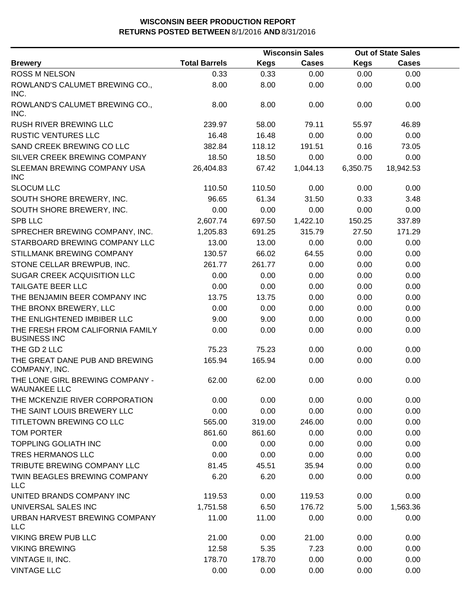|                                                         |                      |             | <b>Wisconsin Sales</b> |             | <b>Out of State Sales</b> |  |
|---------------------------------------------------------|----------------------|-------------|------------------------|-------------|---------------------------|--|
| <b>Brewery</b>                                          | <b>Total Barrels</b> | <b>Kegs</b> | <b>Cases</b>           | <b>Kegs</b> | <b>Cases</b>              |  |
| <b>ROSS M NELSON</b>                                    | 0.33                 | 0.33        | 0.00                   | 0.00        | 0.00                      |  |
| ROWLAND'S CALUMET BREWING CO.,<br>INC.                  | 8.00                 | 8.00        | 0.00                   | 0.00        | 0.00                      |  |
| ROWLAND'S CALUMET BREWING CO.,<br>INC.                  | 8.00                 | 8.00        | 0.00                   | 0.00        | 0.00                      |  |
| RUSH RIVER BREWING LLC                                  | 239.97               | 58.00       | 79.11                  | 55.97       | 46.89                     |  |
| <b>RUSTIC VENTURES LLC</b>                              | 16.48                | 16.48       | 0.00                   | 0.00        | 0.00                      |  |
| SAND CREEK BREWING CO LLC                               | 382.84               | 118.12      | 191.51                 | 0.16        | 73.05                     |  |
| SILVER CREEK BREWING COMPANY                            | 18.50                | 18.50       | 0.00                   | 0.00        | 0.00                      |  |
| SLEEMAN BREWING COMPANY USA<br><b>INC</b>               | 26,404.83            | 67.42       | 1,044.13               | 6,350.75    | 18,942.53                 |  |
| <b>SLOCUM LLC</b>                                       | 110.50               | 110.50      | 0.00                   | 0.00        | 0.00                      |  |
| SOUTH SHORE BREWERY, INC.                               | 96.65                | 61.34       | 31.50                  | 0.33        | 3.48                      |  |
| SOUTH SHORE BREWERY, INC.                               | 0.00                 | 0.00        | 0.00                   | 0.00        | 0.00                      |  |
| SPB LLC                                                 | 2,607.74             | 697.50      | 1,422.10               | 150.25      | 337.89                    |  |
| SPRECHER BREWING COMPANY, INC.                          | 1,205.83             | 691.25      | 315.79                 | 27.50       | 171.29                    |  |
| STARBOARD BREWING COMPANY LLC                           | 13.00                | 13.00       | 0.00                   | 0.00        | 0.00                      |  |
| STILLMANK BREWING COMPANY                               | 130.57               | 66.02       | 64.55                  | 0.00        | 0.00                      |  |
| STONE CELLAR BREWPUB, INC.                              | 261.77               | 261.77      | 0.00                   | 0.00        | 0.00                      |  |
| SUGAR CREEK ACQUISITION LLC                             | 0.00                 | 0.00        | 0.00                   | 0.00        | 0.00                      |  |
| <b>TAILGATE BEER LLC</b>                                | 0.00                 | 0.00        | 0.00                   | 0.00        | 0.00                      |  |
| THE BENJAMIN BEER COMPANY INC                           | 13.75                | 13.75       | 0.00                   | 0.00        | 0.00                      |  |
| THE BRONX BREWERY, LLC                                  | 0.00                 | 0.00        | 0.00                   | 0.00        | 0.00                      |  |
| THE ENLIGHTENED IMBIBER LLC                             | 9.00                 | 9.00        | 0.00                   | 0.00        | 0.00                      |  |
| THE FRESH FROM CALIFORNIA FAMILY<br><b>BUSINESS INC</b> | 0.00                 | 0.00        | 0.00                   | 0.00        | 0.00                      |  |
| THE GD 2 LLC                                            | 75.23                | 75.23       | 0.00                   | 0.00        | 0.00                      |  |
| THE GREAT DANE PUB AND BREWING<br>COMPANY, INC.         | 165.94               | 165.94      | 0.00                   | 0.00        | 0.00                      |  |
| THE LONE GIRL BREWING COMPANY -<br><b>WAUNAKEE LLC</b>  | 62.00                | 62.00       | 0.00                   | 0.00        | 0.00                      |  |
| THE MCKENZIE RIVER CORPORATION                          | 0.00                 | 0.00        | 0.00                   | 0.00        | 0.00                      |  |
| THE SAINT LOUIS BREWERY LLC                             | 0.00                 | 0.00        | 0.00                   | 0.00        | 0.00                      |  |
| TITLETOWN BREWING CO LLC                                | 565.00               | 319.00      | 246.00                 | 0.00        | 0.00                      |  |
| <b>TOM PORTER</b>                                       | 861.60               | 861.60      | 0.00                   | 0.00        | 0.00                      |  |
| <b>TOPPLING GOLIATH INC</b>                             | 0.00                 | 0.00        | 0.00                   | 0.00        | 0.00                      |  |
| TRES HERMANOS LLC                                       | 0.00                 | 0.00        | 0.00                   | 0.00        | 0.00                      |  |
| TRIBUTE BREWING COMPANY LLC                             | 81.45                | 45.51       | 35.94                  | 0.00        | 0.00                      |  |
| TWIN BEAGLES BREWING COMPANY<br><b>LLC</b>              | 6.20                 | 6.20        | 0.00                   | 0.00        | 0.00                      |  |
| UNITED BRANDS COMPANY INC                               | 119.53               | 0.00        | 119.53                 | 0.00        | 0.00                      |  |
| UNIVERSAL SALES INC                                     | 1,751.58             | 6.50        | 176.72                 | 5.00        | 1,563.36                  |  |
| URBAN HARVEST BREWING COMPANY<br><b>LLC</b>             | 11.00                | 11.00       | 0.00                   | 0.00        | 0.00                      |  |
| <b>VIKING BREW PUB LLC</b>                              | 21.00                | 0.00        | 21.00                  | 0.00        | 0.00                      |  |
| <b>VIKING BREWING</b>                                   | 12.58                | 5.35        | 7.23                   | 0.00        | 0.00                      |  |
| VINTAGE II, INC.                                        | 178.70               | 178.70      | 0.00                   | 0.00        | 0.00                      |  |
| <b>VINTAGE LLC</b>                                      | 0.00                 | 0.00        | 0.00                   | 0.00        | 0.00                      |  |